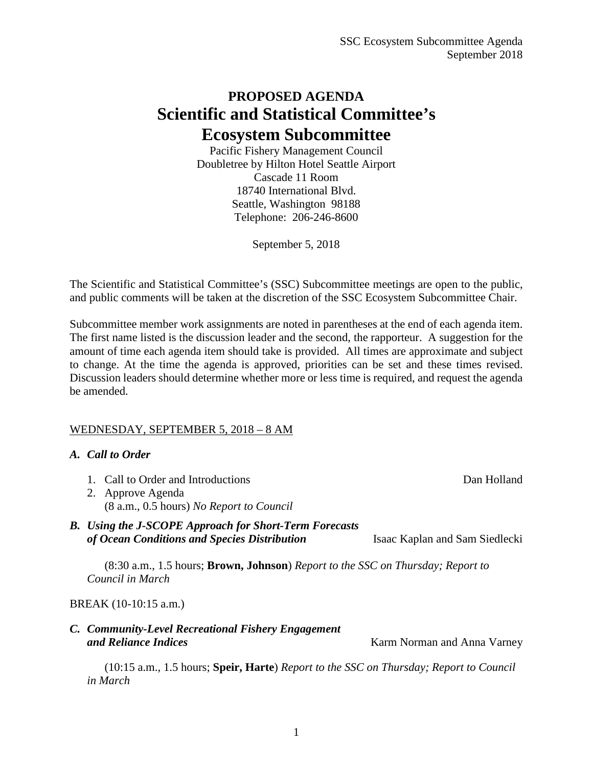## **PROPOSED AGENDA Scientific and Statistical Committee's Ecosystem Subcommittee**

Pacific Fishery Management Council Doubletree by Hilton Hotel Seattle Airport Cascade 11 Room 18740 International Blvd. Seattle, Washington 98188 Telephone: 206-246-8600

September 5, 2018

The Scientific and Statistical Committee's (SSC) Subcommittee meetings are open to the public, and public comments will be taken at the discretion of the SSC Ecosystem Subcommittee Chair.

Subcommittee member work assignments are noted in parentheses at the end of each agenda item. The first name listed is the discussion leader and the second, the rapporteur. A suggestion for the amount of time each agenda item should take is provided. All times are approximate and subject to change. At the time the agenda is approved, priorities can be set and these times revised. Discussion leaders should determine whether more or less time is required, and request the agenda be amended.

## WEDNESDAY, SEPTEMBER 5, 2018 – 8 AM

## *A. Call to Order*

- 1. Call to Order and Introductions Dan Holland
- 2. Approve Agenda (8 a.m., 0.5 hours) *No Report to Council*
- *B. Using the J-SCOPE Approach for Short-Term Forecasts of Ocean Conditions and Species Distribution* Isaac Kaplan and Sam Siedlecki

(8:30 a.m., 1.5 hours; **Brown, Johnson**) *Report to the SSC on Thursday; Report to Council in March*

## BREAK (10-10:15 a.m.)

*C. Community-Level Recreational Fishery Engagement and Reliance Indices* Karm Norman and Anna Varney

(10:15 a.m., 1.5 hours; **Speir, Harte**) *Report to the SSC on Thursday; Report to Council in March*